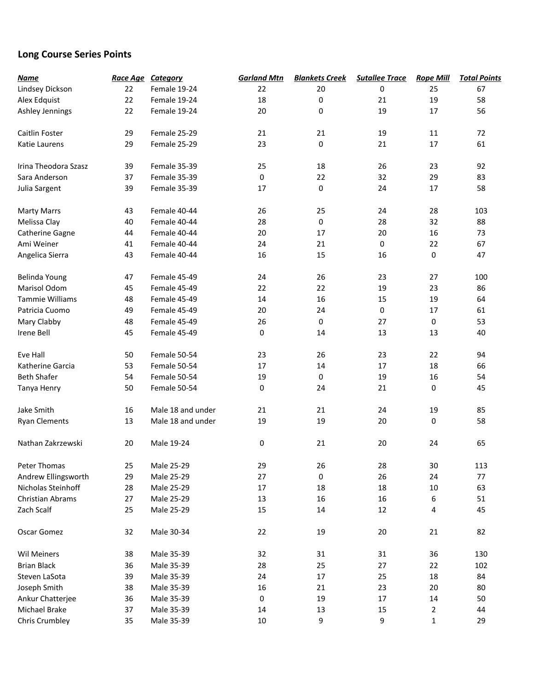## **Long Course Series Points**

| <b>Name</b>             |    | Race Age Category | <b>Garland Mtn</b> | <b>Blankets Creek</b> | <b>Sutallee Trace</b> | <b>Rope Mill</b> | <b>Total Points</b> |
|-------------------------|----|-------------------|--------------------|-----------------------|-----------------------|------------------|---------------------|
| Lindsey Dickson         | 22 | Female 19-24      | 22                 | 20                    | 0                     | 25               | 67                  |
| Alex Edquist            | 22 | Female 19-24      | 18                 | $\pmb{0}$             | 21                    | 19               | 58                  |
| Ashley Jennings         | 22 | Female 19-24      | 20                 | 0                     | 19                    | 17               | 56                  |
| Caitlin Foster          | 29 | Female 25-29      | 21                 | 21                    | 19                    | 11               | 72                  |
|                         |    |                   |                    |                       |                       |                  |                     |
| Katie Laurens           | 29 | Female 25-29      | 23                 | 0                     | 21                    | 17               | 61                  |
| Irina Theodora Szasz    | 39 | Female 35-39      | 25                 | 18                    | 26                    | 23               | 92                  |
| Sara Anderson           | 37 | Female 35-39      | 0                  | 22                    | 32                    | 29               | 83                  |
| Julia Sargent           | 39 | Female 35-39      | 17                 | 0                     | 24                    | 17               | 58                  |
| <b>Marty Marrs</b>      | 43 | Female 40-44      | 26                 | 25                    | 24                    | 28               | 103                 |
| Melissa Clay            | 40 | Female 40-44      | 28                 | 0                     | 28                    | 32               | 88                  |
| Catherine Gagne         | 44 | Female 40-44      | 20                 | 17                    | 20                    | 16               | 73                  |
| Ami Weiner              | 41 | Female 40-44      | 24                 | 21                    | 0                     | 22               | 67                  |
| Angelica Sierra         | 43 | Female 40-44      | 16                 | 15                    | 16                    | 0                | 47                  |
| Belinda Young           | 47 | Female 45-49      | 24                 | 26                    | 23                    | 27               | 100                 |
| Marisol Odom            | 45 | Female 45-49      | 22                 | 22                    | 19                    | 23               | 86                  |
|                         |    |                   |                    |                       |                       |                  |                     |
| Tammie Williams         | 48 | Female 45-49      | 14                 | 16                    | 15                    | 19               | 64                  |
| Patricia Cuomo          | 49 | Female 45-49      | 20                 | 24                    | 0                     | 17               | 61                  |
| Mary Clabby             | 48 | Female 45-49      | 26                 | $\mathbf 0$           | 27                    | 0                | 53                  |
| Irene Bell              | 45 | Female 45-49      | 0                  | 14                    | 13                    | 13               | 40                  |
| Eve Hall                | 50 | Female 50-54      | 23                 | 26                    | 23                    | 22               | 94                  |
| Katherine Garcia        | 53 | Female 50-54      | 17                 | 14                    | 17                    | 18               | 66                  |
| <b>Beth Shafer</b>      | 54 | Female 50-54      | 19                 | 0                     | 19                    | 16               | 54                  |
| Tanya Henry             | 50 | Female 50-54      | 0                  | 24                    | 21                    | 0                | 45                  |
| Jake Smith              | 16 | Male 18 and under | 21                 | 21                    | 24                    | 19               | 85                  |
| <b>Ryan Clements</b>    | 13 | Male 18 and under | 19                 | 19                    | 20                    | 0                | 58                  |
| Nathan Zakrzewski       | 20 | Male 19-24        | 0                  | 21                    | 20                    | 24               | 65                  |
| Peter Thomas            | 25 | Male 25-29        | 29                 | 26                    | 28                    | 30               | 113                 |
| Andrew Ellingsworth     | 29 | Male 25-29        | 27                 | $\pmb{0}$             | 26                    | 24               | 77                  |
| Nicholas Steinhoff      | 28 | Male 25-29        | $17\,$             | 18                    | 18                    | 10               | 63                  |
| <b>Christian Abrams</b> | 27 | Male 25-29        | 13                 | 16                    | 16                    | 6                | 51                  |
| Zach Scalf              | 25 | Male 25-29        | 15                 | 14                    | 12                    | 4                | 45                  |
| Oscar Gomez             | 32 | Male 30-34        | 22                 | 19                    | 20                    | 21               | 82                  |
| <b>Wil Meiners</b>      | 38 | Male 35-39        | 32                 | 31                    | 31                    | 36               | 130                 |
| <b>Brian Black</b>      | 36 | Male 35-39        | 28                 | 25                    | 27                    | 22               | 102                 |
| Steven LaSota           | 39 | Male 35-39        | 24                 | 17                    | 25                    | 18               | 84                  |
| Joseph Smith            | 38 | Male 35-39        | 16                 | 21                    | 23                    | 20               | 80                  |
| Ankur Chatterjee        | 36 | Male 35-39        | 0                  | 19                    | 17                    | 14               | 50                  |
| Michael Brake           | 37 | Male 35-39        | 14                 | 13                    | 15                    | $\overline{2}$   | 44                  |
| <b>Chris Crumbley</b>   | 35 | Male 35-39        | 10                 | 9                     | 9                     | $\mathbf{1}$     | 29                  |
|                         |    |                   |                    |                       |                       |                  |                     |